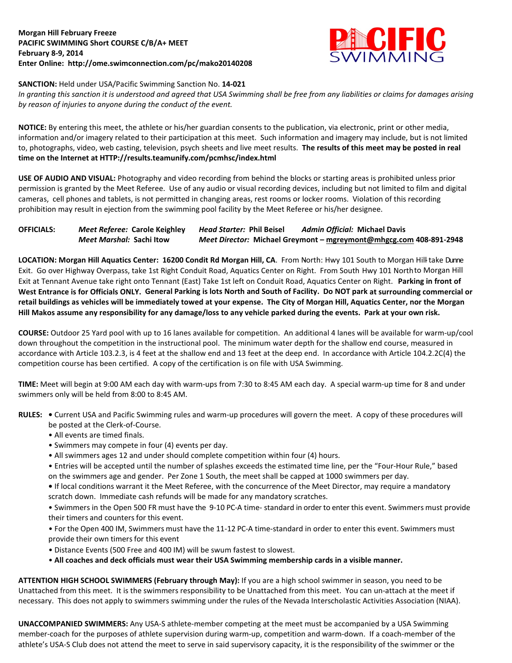

## **SANCTION:** Held under USA/Pacific Swimming Sanction No. **14-021**

*In granting this sanction it is understood and agreed that USA Swimming shall be free from any liabilities or claims for damages arising by reason of injuries to anyone during the conduct of the event.*

**NOTICE:** By entering this meet, the athlete or his/her guardian consents to the publication, via electronic, print or other media, information and/or imagery related to their participation at this meet. Such information and imagery may include, but is not limited to, photographs, video, web casting, television, psych sheets and live meet results. **The results of this meet may be posted in real time on the Internet at HTTP://results.teamunify.com/pcmhsc/index.html**

**USE OF AUDIO AND VISUAL:** Photography and video recording from behind the blocks or starting areas is prohibited unless prior permission is granted by the Meet Referee. Use of any audio or visual recording devices, including but not limited to film and digital cameras, cell phones and tablets, is not permitted in changing areas, rest rooms or locker rooms. Violation of this recording prohibition may result in ejection from the swimming pool facility by the Meet Referee or his/her designee.

| <b>OFFICIALS:</b> | Meet Referee: Carole Keighley    | <i>Head Starter: Phil Beisel</i> | <b>Admin Official: Michael Davis</b>                               |
|-------------------|----------------------------------|----------------------------------|--------------------------------------------------------------------|
|                   | <i>Meet Marshal: S</i> achi Itow |                                  | Meet Director: Michael Greymont – mgreymont@mhgcg.com 408-891-2948 |

LOCATION: Morgan Hill Aquatics Center: 16200 Condit Rd Morgan Hill, CA. From North: Hwy 101 South to Morgan Hill-take Dunne Exit. Go over Highway Overpass, take 1st Right Conduit Road, Aquatics Center on Right. From South Hwy 101 Northto Morgan Hill Exit at Tennant Avenue take right onto Tennant (East) Take 1st left on Conduit Road, Aquatics Center on Right. **Parking in front of West Entrance is for Officials ONLY. General Parking is lots North and South of Facility. Do NOT park at surrounding commercial or retail buildings as vehicles will be immediately towed at your expense. The City of Morgan Hill, Aquatics Center, nor the Morgan Hill Makos assume any responsibility for any damage/loss to any vehicle parked during the events. Park at your own risk.**

**COURSE:** Outdoor 25 Yard pool with up to 16 lanes available for competition. An additional 4 lanes will be available for warm-up/cool down throughout the competition in the instructional pool. The minimum water depth for the shallow end course, measured in accordance with Article 103.2.3, is 4 feet at the shallow end and 13 feet at the deep end. In accordance with Article 104.2.2C(4) the competition course has been certified. A copy of the certification is on file with USA Swimming.

**TIME:** Meet will begin at 9:00 AM each day with warm-ups from 7:30 to 8:45 AM each day. A special warm-up time for 8 and under swimmers only will be held from 8:00 to 8:45 AM.

- **RULES:** Current USA and Pacific Swimming rules and warm-up procedures will govern the meet. A copy of these procedures will be posted at the Clerk-of-Course.
	- All events are timed finals.
	- Swimmers may compete in four (4) events per day.
	- All swimmers ages 12 and under should complete competition within four (4) hours.

• Entries will be accepted until the number of splashes exceeds the estimated time line, per the "Four-Hour Rule," based on the swimmers age and gender. Per Zone 1 South, the meet shall be capped at 1000 swimmers per day.

**•** If local conditions warrant it the Meet Referee, with the concurrence of the Meet Director, may require a mandatory scratch down. Immediate cash refunds will be made for any mandatory scratches.

• Swimmers in the Open 500 FR must have the 9-10 PC-A time- standard in order to enter this event. Swimmers must provide their timers and counters for this event.

• For the Open 400 IM, Swimmers must have the 11-12 PC-A time-standard in order to enter this event. Swimmers must provide their own timers for this event

- Distance Events (500 Free and 400 IM) will be swum fastest to slowest.
- **All coaches and deck officials must wear their USA Swimming membership cards in a visible manner.**

**ATTENTION HIGH SCHOOL SWIMMERS (February through May):** If you are a high school swimmer in season, you need to be Unattached from this meet. It is the swimmers responsibility to be Unattached from this meet. You can un-attach at the meet if necessary. This does not apply to swimmers swimming under the rules of the Nevada Interscholastic Activities Association (NIAA).

**UNACCOMPANIED SWIMMERS:** Any USA-S athlete-member competing at the meet must be accompanied by a USA Swimming member-coach for the purposes of athlete supervision during warm-up, competition and warm-down. If a coach-member of the athlete's USA-S Club does not attend the meet to serve in said supervisory capacity, it is the responsibility of the swimmer or the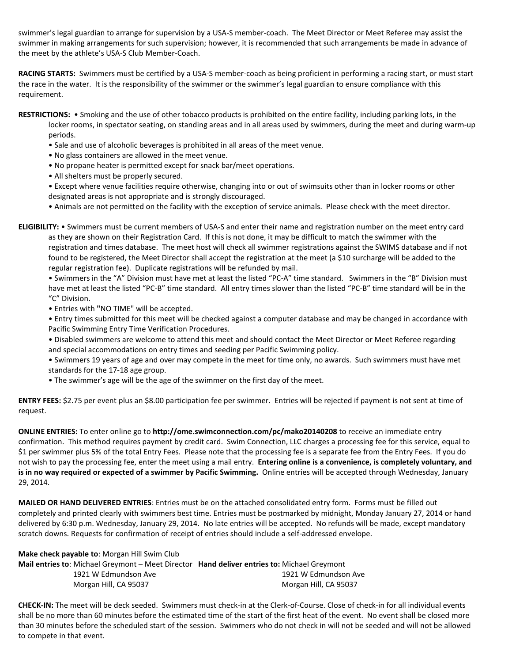swimmer's legal guardian to arrange for supervision by a USA-S member-coach. The Meet Director or Meet Referee may assist the swimmer in making arrangements for such supervision; however, it is recommended that such arrangements be made in advance of the meet by the athlete's USA-S Club Member-Coach.

**RACING STARTS:** Swimmers must be certified by a USA-S member-coach as being proficient in performing a racing start, or must start the race in the water. It is the responsibility of the swimmer or the swimmer's legal guardian to ensure compliance with this requirement.

**RESTRICTIONS:** • Smoking and the use of other tobacco products is prohibited on the entire facility, including parking lots, in the locker rooms, in spectator seating, on standing areas and in all areas used by swimmers, during the meet and during warm-up periods.

- Sale and use of alcoholic beverages is prohibited in all areas of the meet venue.
- No glass containers are allowed in the meet venue.
- No propane heater is permitted except for snack bar/meet operations.
- All shelters must be properly secured.

• Except where venue facilities require otherwise, changing into or out of swimsuits other than in locker rooms or other designated areas is not appropriate and is strongly discouraged.

• Animals are not permitted on the facility with the exception of service animals. Please check with the meet director.

**ELIGIBILITY:** • Swimmers must be current members of USA-S and enter their name and registration number on the meet entry card as they are shown on their Registration Card. If this is not done, it may be difficult to match the swimmer with the registration and times database. The meet host will check all swimmer registrations against the SWIMS database and if not found to be registered, the Meet Director shall accept the registration at the meet (a \$10 surcharge will be added to the regular registration fee). Duplicate registrations will be refunded by mail.

• Swimmers in the "A" Division must have met at least the listed "PC-A" time standard. Swimmers in the "B" Division must have met at least the listed "PC-B" time standard. All entry times slower than the listed "PC-B" time standard will be in the "C" Division.

• Entries with **"**NO TIME" will be accepted.

• Entry times submitted for this meet will be checked against a computer database and may be changed in accordance with Pacific Swimming Entry Time Verification Procedures.

- Disabled swimmers are welcome to attend this meet and should contact the Meet Director or Meet Referee regarding and special accommodations on entry times and seeding per Pacific Swimming policy.
- Swimmers 19 years of age and over may compete in the meet for time only, no awards. Such swimmers must have met standards for the 17-18 age group.
- The swimmer's age will be the age of the swimmer on the first day of the meet.

**ENTRY FEES:** \$2.75 per event plus an \$8.00 participation fee per swimmer. Entries will be rejected if payment is not sent at time of request.

**ONLINE ENTRIES:** To enter online go to **http://ome.swimconnection.com/pc/mako20140208** to receive an immediate entry confirmation. This method requires payment by credit card. Swim Connection, LLC charges a processing fee for this service, equal to \$1 per swimmer plus 5% of the total Entry Fees. Please note that the processing fee is a separate fee from the Entry Fees. If you do not wish to pay the processing fee, enter the meet using a mail entry. **Entering online is a convenience, is completely voluntary, and is in no way required or expected of a swimmer by Pacific Swimming.** Online entries will be accepted through Wednesday, January 29, 2014.

**MAILED OR HAND DELIVERED ENTRIES**: Entries must be on the attached consolidated entry form. Forms must be filled out completely and printed clearly with swimmers best time. Entries must be postmarked by midnight, Monday January 27, 2014 or hand delivered by 6:30 p.m. Wednesday, January 29, 2014. No late entries will be accepted. No refunds will be made, except mandatory scratch downs. Requests for confirmation of receipt of entries should include a self-addressed envelope.

**Make check payable to**: Morgan Hill Swim Club

**Mail entries to**: Michael Greymont – Meet Director **Hand deliver entries to:** Michael Greymont 1921 W Edmundson Ave 1921 W Edmundson Ave Morgan Hill, CA 95037 Morgan Hill, CA 95037

**CHECK-IN:** The meet will be deck seeded. Swimmers must check-in at the Clerk-of-Course. Close of check-in for all individual events shall be no more than 60 minutes before the estimated time of the start of the first heat of the event. No event shall be closed more than 30 minutes before the scheduled start of the session. Swimmers who do not check in will not be seeded and will not be allowed to compete in that event.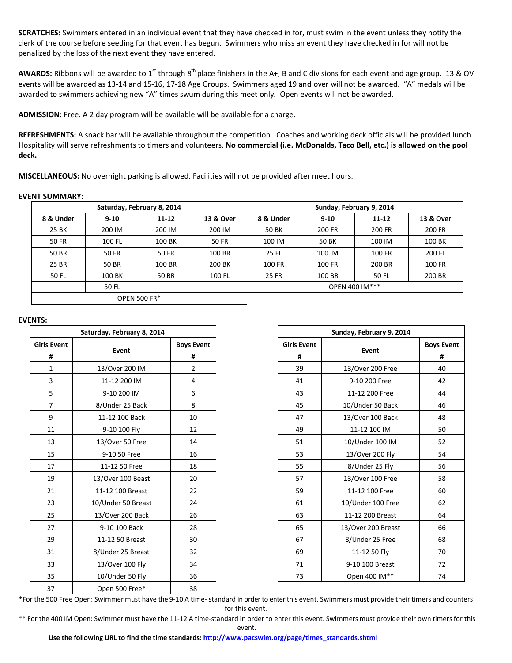**SCRATCHES:** Swimmers entered in an individual event that they have checked in for, must swim in the event unless they notify the clerk of the course before seeding for that event has begun. Swimmers who miss an event they have checked in for will not be penalized by the loss of the next event they have entered.

AWARDS: Ribbons will be awarded to 1<sup>st</sup> through 8<sup>th</sup> place finishers in the A+, B and C divisions for each event and age group. 13 & OV events will be awarded as 13-14 and 15-16, 17-18 Age Groups. Swimmers aged 19 and over will not be awarded. "A" medals will be awarded to swimmers achieving new "A" times swum during this meet only. Open events will not be awarded.

**ADMISSION:** Free. A 2 day program will be available will be available for a charge.

**REFRESHMENTS:** A snack bar will be available throughout the competition. Coaches and working deck officials will be provided lunch. Hospitality will serve refreshments to timers and volunteers. **No commercial (i.e. McDonalds, Taco Bell, etc.) is allowed on the pool deck.**

**MISCELLANEOUS:** No overnight parking is allowed. Facilities will not be provided after meet hours.

## **EVENT SUMMARY:**

|           | Saturday, February 8, 2014 |              |              | Sunday, February 9, 2014 |          |           |               |  |  |  |
|-----------|----------------------------|--------------|--------------|--------------------------|----------|-----------|---------------|--|--|--|
| 8 & Under | $9 - 10$                   | $11 - 12$    | 13 & Over    | 8 & Under                | $9 - 10$ | $11 - 12$ | 13 & Over     |  |  |  |
| 25 BK     | 200 IM                     | 200 IM       | 200 IM       | 50 BK                    | 200 FR   | 200 FR    | 200 FR        |  |  |  |
| 50 FR     | 100 FL                     | 100 BK       | <b>50 FR</b> | 50 BK<br>100 IM          |          | 100 IM    | 100 BK        |  |  |  |
| 50 BR     | <b>50 FR</b>               | <b>50 FR</b> | 100 BR       | <b>25 FL</b>             | 100 IM   | 100 FR    | 200 FL        |  |  |  |
| 25 BR     | 50 BR                      | 100 BR       | 200 BK       | 100 FR                   | 100 FR   |           | <b>100 FR</b> |  |  |  |
| 50 FL     | 100 BK                     | 50 BR        | 100 FL       | <b>25 FR</b>             | 100 BR   | 50 FL     | 200 BR        |  |  |  |
|           | 50 FL                      |              |              | OPEN 400 IM***           |          |           |               |  |  |  |
|           | <b>OPEN 500 FR*</b>        |              |              |                          |          |           |               |  |  |  |

## **EVENTS:**

|                    | Saturday, February 8, 2014 |                   |
|--------------------|----------------------------|-------------------|
| <b>Girls Event</b> | Event                      | <b>Boys Event</b> |
| #                  |                            | #                 |
| $\mathbf{1}$       | 13/Over 200 IM             | $\overline{2}$    |
| 3                  | 11-12 200 IM               | 4                 |
| 5                  | 9-10 200 IM                | 6                 |
| $\overline{7}$     | 8/Under 25 Back            | 8                 |
| 9                  | 11-12 100 Back             | 10                |
| 11                 | 9-10 100 Fly               | 12                |
| 13                 | 13/Over 50 Free            | 14                |
| 15                 | 9-10 50 Free               | 16                |
| 17                 | 11-12 50 Free              | 18                |
| 19                 | 13/Over 100 Beast          | 20                |
| 21                 | 11-12 100 Breast           | 22                |
| 23                 | 10/Under 50 Breast         | 24                |
| 25                 | 13/Over 200 Back           | 26                |
| 27                 | 9-10 100 Back              | 28                |
| 29                 | 11-12 50 Breast            | 30                |
| 31                 | 8/Under 25 Breast          | 32                |
| 33                 | 13/Over 100 Fly            | 34                |
| 35                 | 10/Under 50 Fly            | 36                |
| 37                 | Open 500 Free*             | 38                |

|                                           | Saturday, February 8, 2014 |                        |
|-------------------------------------------|----------------------------|------------------------|
| Event                                     | Event                      | <b>Boys Event</b><br># |
| #                                         | 13/Over 200 IM             | $\overline{2}$         |
| $\overline{1}$<br>$\overline{\mathbf{3}}$ | 11-12 200 IM               | 4                      |
| $\overline{\phantom{1}}$                  | 9-10 200 IM                | 6                      |
| 7                                         | 8/Under 25 Back            | 8                      |
| 9                                         | 11-12 100 Back             | 10                     |
| L1                                        | 9-10 100 Fly               | 12                     |
| L3                                        | 13/Over 50 Free            | 14                     |
| $\overline{15}$                           | 9-10 50 Free               | 16                     |
| L7                                        | 11-12 50 Free              | 18                     |
| L9                                        | 13/Over 100 Beast          | 20                     |
| 21                                        | 11-12 100 Breast           | 22                     |
| 23                                        | 10/Under 50 Breast         | 24                     |
| $^{25}$                                   | 13/Over 200 Back           | 26                     |
| $^{27}$                                   | 9-10 100 Back              | 28                     |
| 29                                        | 11-12 50 Breast            | 30                     |
| 31                                        | 8/Under 25 Breast          | 32                     |
| 33                                        | 13/Over 100 Fly            | 34                     |
| 35                                        | 10/Under 50 Fly            | 36                     |

\*For the 500 Free Open: Swimmer must have the 9-10 A time- standard in order to enter this event. Swimmers must provide their timers and counters for this event.

\*\* For the 400 IM Open: Swimmer must have the 11-12 A time-standard in order to enter this event. Swimmers must provide their own timers for this